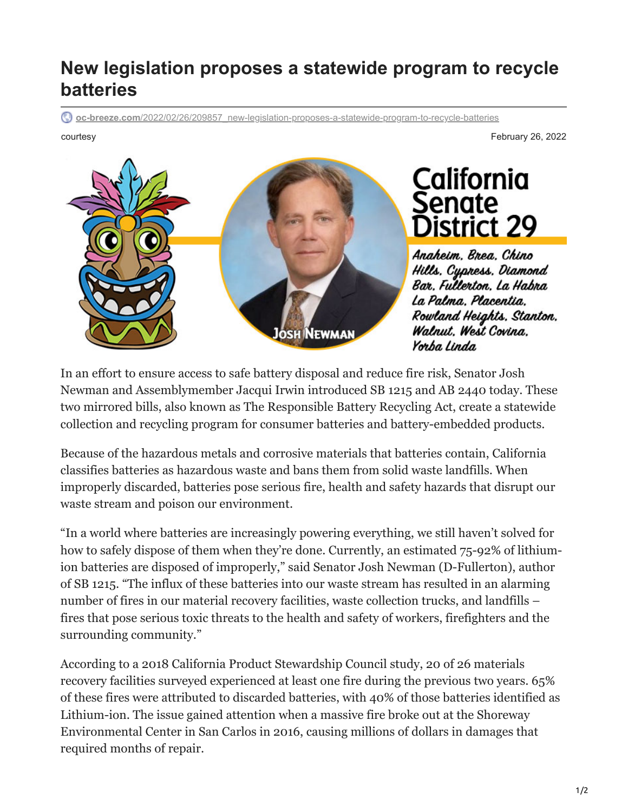## **New legislation proposes a statewide program to recycle batteries**

**oc-breeze.com**[/2022/02/26/209857\\_new-legislation-proposes-a-statewide-program-to-recycle-batteries](https://www.oc-breeze.com/2022/02/26/209857_new-legislation-proposes-a-statewide-program-to-recycle-batteries/)

courtesy February 26, 2022



Anaheim. Brea. Chino Hills, Cypress, Diamond Bar, Fullerton, La Habra La Palma, Placentia. Rowland Heights, Stanton, Walnut. West Covina. Yorba Linda

District 29

In an effort to ensure access to safe battery disposal and reduce fire risk, Senator Josh Newman and Assemblymember Jacqui Irwin introduced SB 1215 and AB 2440 today. These two mirrored bills, also known as The Responsible Battery Recycling Act, create a statewide collection and recycling program for consumer batteries and battery-embedded products.

Because of the hazardous metals and corrosive materials that batteries contain, California classifies batteries as hazardous waste and bans them from solid waste landfills. When improperly discarded, batteries pose serious fire, health and safety hazards that disrupt our waste stream and poison our environment.

"In a world where batteries are increasingly powering everything, we still haven't solved for how to safely dispose of them when they're done. Currently, an estimated 75-92% of lithiumion batteries are disposed of improperly," said Senator Josh Newman (D-Fullerton), author of SB 1215. "The influx of these batteries into our waste stream has resulted in an alarming number of fires in our material recovery facilities, waste collection trucks, and landfills – fires that pose serious toxic threats to the health and safety of workers, firefighters and the surrounding community."

According to a 2018 California Product Stewardship Council study, 20 of 26 materials recovery facilities surveyed experienced at least one fire during the previous two years. 65% of these fires were attributed to discarded batteries, with 40% of those batteries identified as Lithium-ion. The issue gained attention when a massive fire broke out at the Shoreway Environmental Center in San Carlos in 2016, causing millions of dollars in damages that required months of repair.